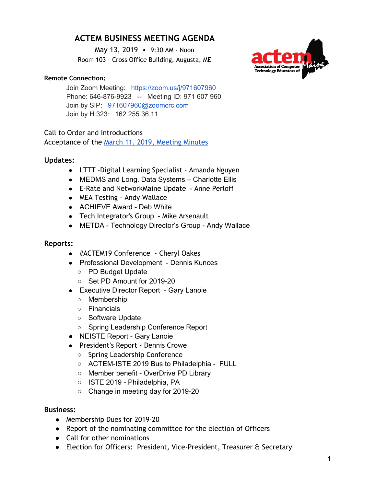# **ACTEM BUSINESS MEETING AGENDA**

May 13, 2019 • 9:30 AM - Noon Room 103 - Cross Office Building, Augusta, ME

## **Remote Connection:**

Join Zoom Meeting: <https://zoom.us/j/971607960> Phone: 646-876-9923 -- Meeting ID: 971 607 960 Join by SIP: 971607960@zoomcrc.com Join by H.323: 162.255.36.11

# Call to Order and Introductions

Acceptance of the March 11, 2019, [Meeting](https://docs.google.com/document/d/1U7R-WVdEBA2W4vjHHs2szU3iFzGHgtW-d7RVwhuD_VE/edit?usp=sharing) Minutes

# **Updates:**

- LTTT -Digital Learning Specialist Amanda Nguyen
- MEDMS and Long. Data Systems Charlotte Ellis
- E-Rate and NetworkMaine Update Anne Perloff
- MEA Testing Andy Wallace
- ACHIEVE Award Deb White
- Tech Integrator's Group Mike Arsenault
- METDA Technology Director's Group Andy Wallace

## **Reports:**

- #ACTEM19 Conference Cheryl Oakes
- Professional Development Dennis Kunces
	- PD Budget Update
	- Set PD Amount for 2019-20
- Executive Director Report Gary Lanoie
	- Membership
	- Financials
	- Software Update
	- Spring Leadership Conference Report
- NEISTE Report Gary Lanoie
- President's Report Dennis Crowe
	- Spring Leadership Conference
	- ACTEM-ISTE 2019 Bus to Philadelphia FULL
	- Member benefit OverDrive PD Library
	- ISTE 2019 Philadelphia, PA
	- Change in meeting day for 2019-20

#### **Business:**

- Membership Dues for 2019-20
- Report of the nominating committee for the election of Officers
- Call for other nominations
- Election for Officers: President, Vice-President, Treasurer & Secretary